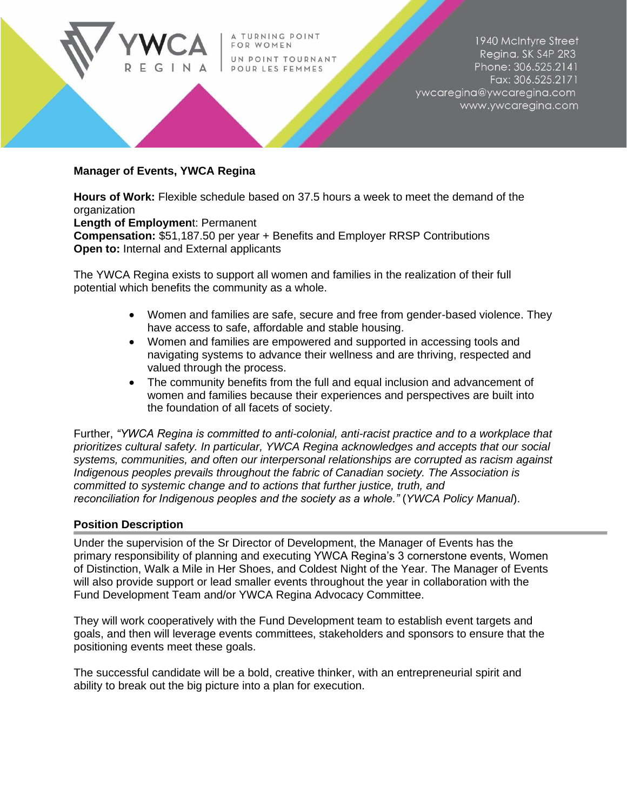

# **Manager of Events, YWCA Regina**

**Hours of Work:** Flexible schedule based on 37.5 hours a week to meet the demand of the organization

**Length of Employmen**t: Permanent

**Compensation:** \$51,187.50 per year + Benefits and Employer RRSP Contributions **Open to: Internal and External applicants** 

The YWCA Regina exists to support all women and families in the realization of their full potential which benefits the community as a whole.

- Women and families are safe, secure and free from gender-based violence. They have access to safe, affordable and stable housing.
- Women and families are empowered and supported in accessing tools and navigating systems to advance their wellness and are thriving, respected and valued through the process.
- The community benefits from the full and equal inclusion and advancement of women and families because their experiences and perspectives are built into the foundation of all facets of society.

Further, *"YWCA Regina is committed to anti-colonial, anti-racist practice and to a workplace that prioritizes cultural safety. In particular, YWCA Regina acknowledges and accepts that our social systems, communities, and often our interpersonal relationships are corrupted as racism against Indigenous peoples prevails throughout the fabric of Canadian society. The Association is committed to systemic change and to actions that further justice, truth, and reconciliation for Indigenous peoples and the society as a whole."* (*YWCA Policy Manual*).

## **Position Description**

Under the supervision of the Sr Director of Development, the Manager of Events has the primary responsibility of planning and executing YWCA Regina's 3 cornerstone events, Women of Distinction, Walk a Mile in Her Shoes, and Coldest Night of the Year. The Manager of Events will also provide support or lead smaller events throughout the year in collaboration with the Fund Development Team and/or YWCA Regina Advocacy Committee.

They will work cooperatively with the Fund Development team to establish event targets and goals, and then will leverage events committees, stakeholders and sponsors to ensure that the positioning events meet these goals.

The successful candidate will be a bold, creative thinker, with an entrepreneurial spirit and ability to break out the big picture into a plan for execution.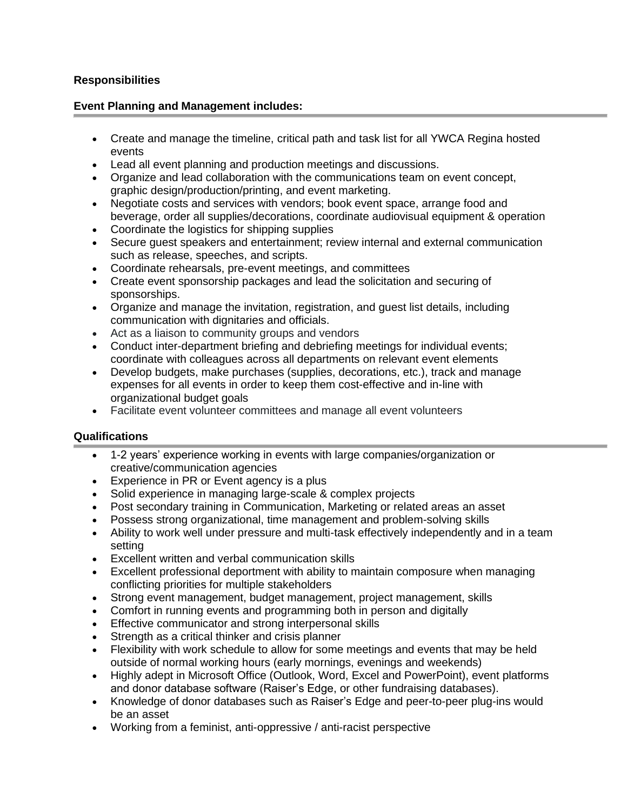# **Responsibilities**

## **Event Planning and Management includes:**

- Create and manage the timeline, critical path and task list for all YWCA Regina hosted events
- Lead all event planning and production meetings and discussions.
- Organize and lead collaboration with the communications team on event concept, graphic design/production/printing, and event marketing.
- Negotiate costs and services with vendors; book event space, arrange food and beverage, order all supplies/decorations, coordinate audiovisual equipment & operation
- Coordinate the logistics for shipping supplies
- Secure guest speakers and entertainment; review internal and external communication such as release, speeches, and scripts.
- Coordinate rehearsals, pre-event meetings, and committees
- Create event sponsorship packages and lead the solicitation and securing of sponsorships.
- Organize and manage the invitation, registration, and guest list details, including communication with dignitaries and officials.
- Act as a liaison to community groups and vendors
- Conduct inter-department briefing and debriefing meetings for individual events; coordinate with colleagues across all departments on relevant event elements
- Develop budgets, make purchases (supplies, decorations, etc.), track and manage expenses for all events in order to keep them cost-effective and in-line with organizational budget goals
- Facilitate event volunteer committees and manage all event volunteers

## **Qualifications**

- 1-2 years' experience working in events with large companies/organization or creative/communication agencies
- Experience in PR or Event agency is a plus
- Solid experience in managing large-scale & complex projects
- Post secondary training in Communication, Marketing or related areas an asset
- Possess strong organizational, time management and problem-solving skills
- Ability to work well under pressure and multi-task effectively independently and in a team setting
- Excellent written and verbal communication skills
- Excellent professional deportment with ability to maintain composure when managing conflicting priorities for multiple stakeholders
- Strong event management, budget management, project management, skills
- Comfort in running events and programming both in person and digitally
- Effective communicator and strong interpersonal skills
- Strength as a critical thinker and crisis planner
- Flexibility with work schedule to allow for some meetings and events that may be held outside of normal working hours (early mornings, evenings and weekends)
- Highly adept in Microsoft Office (Outlook, Word, Excel and PowerPoint), event platforms and donor database software (Raiser's Edge, or other fundraising databases).
- Knowledge of donor databases such as Raiser's Edge and peer-to-peer plug-ins would be an asset
- Working from a feminist, anti-oppressive / anti-racist perspective